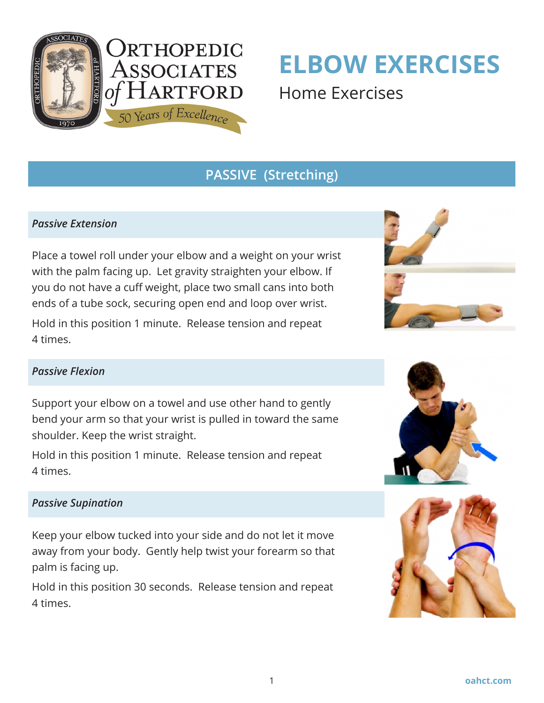

# **ELBOW EXERCISES**  Home Exercises

# **PASSIVE (Stretching)**

## *Passive Extension*

Place a towel roll under your elbow and a weight on your wrist with the palm facing up. Let gravity straighten your elbow. If you do not have a cuff weight, place two small cans into both ends of a tube sock, securing open end and loop over wrist.

Hold in this position 1 minute. Release tension and repeat 4 times.

# *Passive Flexion*

Support your elbow on a towel and use other hand to gently bend your arm so that your wrist is pulled in toward the same shoulder. Keep the wrist straight.

Hold in this position 1 minute. Release tension and repeat 4 times.

## *Passive Supination*

Keep your elbow tucked into your side and do not let it move away from your body. Gently help twist your forearm so that palm is facing up.

Hold in this position 30 seconds. Release tension and repeat 4 times.





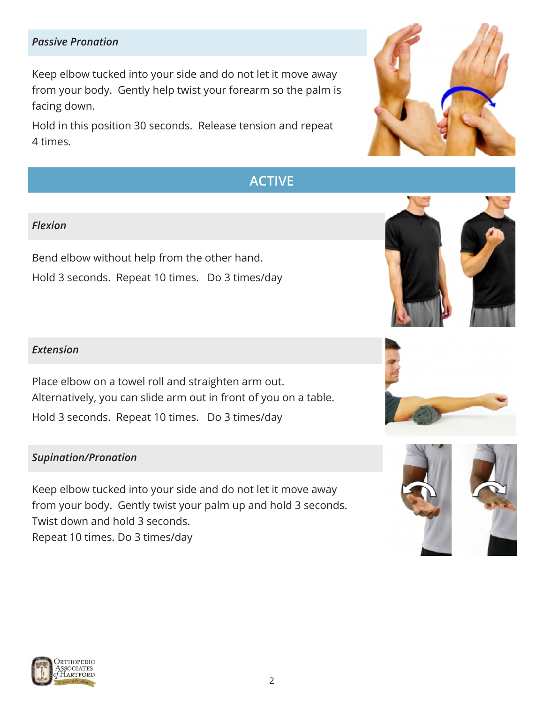## *Passive Pronation*

Keep elbow tucked into your side and do not let it move away from your body. Gently help twist your forearm so the palm is facing down.

Hold in this position 30 seconds. Release tension and repeat 4 times.

# **ACTIVE**

2

#### *Flexion*

Bend elbow without help from the other hand. Hold 3 seconds. Repeat 10 times. Do 3 times/day

#### *Extension*

Place elbow on a towel roll and straighten arm out. Alternatively, you can slide arm out in front of you on a table. Hold 3 seconds. Repeat 10 times. Do 3 times/day

#### *Supination/Pronation*

Keep elbow tucked into your side and do not let it move away from your body. Gently twist your palm up and hold 3 seconds. Twist down and hold 3 seconds. Repeat 10 times. Do 3 times/day









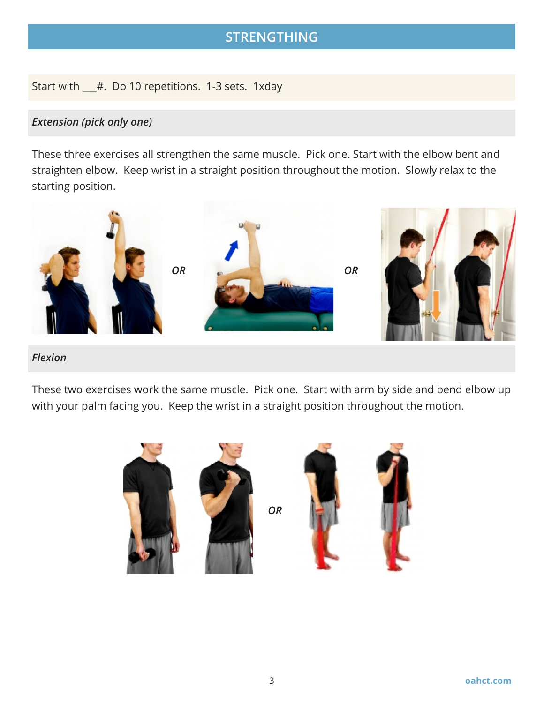# **STRENGTHING**

Start with \_\_\_#. Do 10 repetitions. 1-3 sets. 1xday

## *Extension (pick only one)*

These three exercises all strengthen the same muscle. Pick one. Start with the elbow bent and straighten elbow. Keep wrist in a straight position throughout the motion. Slowly relax to the starting position.



#### *Flexion*

These two exercises work the same muscle. Pick one. Start with arm by side and bend elbow up with your palm facing you. Keep the wrist in a straight position throughout the motion.